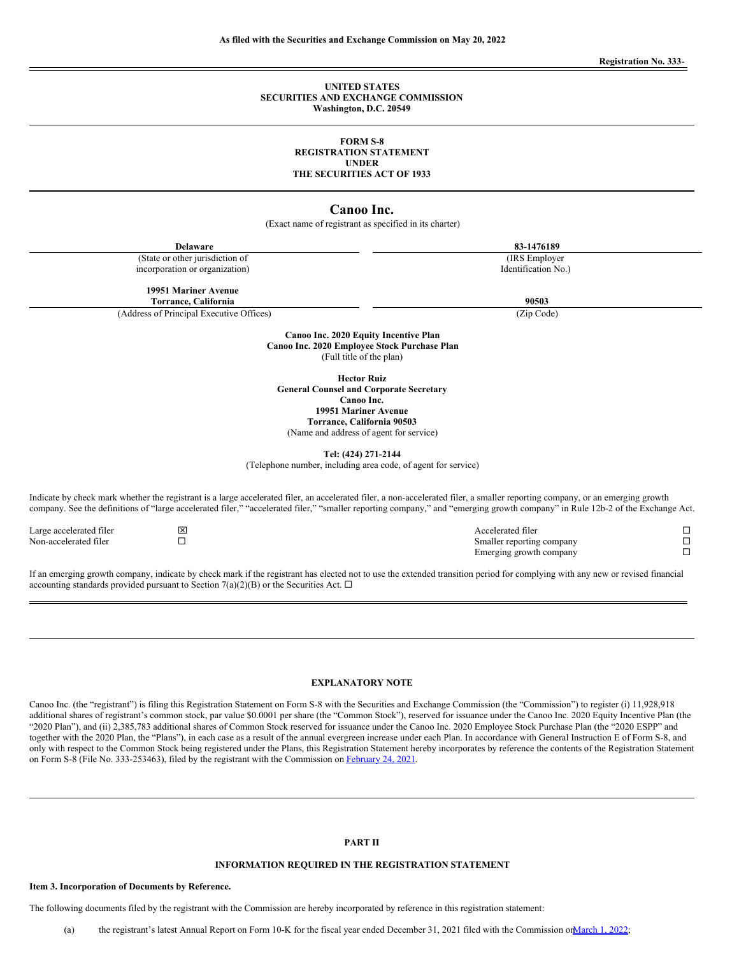**Registration No. 333-**

#### **UNITED STATES SECURITIES AND EXCHANGE COMMISSION Washington, D.C. 20549**

#### **FORM S-8 REGISTRATION STATEMENT UNDER THE SECURITIES ACT OF 1933**

## **Canoo Inc.**

(Exact name of registrant as specified in its charter)

**Delaware 83-1476189** (State or other jurisdiction of incorporation or organization) (IRS Employer Identification No.) **19951 Mariner Avenue Torrance, California 90503** (Address of Principal Executive Offices) (Zip Code) **Canoo Inc. 2020 Equity Incentive Plan Canoo Inc. 2020 Employee Stock Purchase Plan** (Full title of the plan) **Hector Ruiz General Counsel and Corporate Secretary Canoo Inc. 19951 Mariner Avenue**

**Torrance, California 90503** (Name and address of agent for service)

**Tel: (424) 271-2144**

(Telephone number, including area code, of agent for service)

Indicate by check mark whether the registrant is a large accelerated filer, an accelerated filer, a non-accelerated filer, a smaller reporting company, or an emerging growth company. See the definitions of "large accelerated filer," "accelerated filer," "smaller reporting company," and "emerging growth company" in Rule 12b-2 of the Exchange Act.

Large accelerated filer x Accelerated filer ¨ Non-accelerated filer ¨ Smaller reporting company ¨

If an emerging growth company, indicate by check mark if the registrant has elected not to use the extended transition period for complying with any new or revised financial accounting standards provided pursuant to Section 7(a)(2)(B) or the Securities Act.  $\Box$ 

Emerging growth company

#### **EXPLANATORY NOTE**

Canoo Inc. (the "registrant") is filing this Registration Statement on Form S-8 with the Securities and Exchange Commission (the "Commission") to register (i) 11,928,918 additional shares of registrant's common stock, par value \$0.0001 per share (the "Common Stock"), reserved for issuance under the Canoo Inc. 2020 Equity Incentive Plan (the "2020 Plan"), and (ii) 2,385,783 additional shares of Common Stock reserved for issuance under the Canoo Inc. 2020 Employee Stock Purchase Plan (the "2020 ESPP" and together with the 2020 Plan, the "Plans"), in each case as a result of the annual evergreen increase under each Plan. In accordance with General Instruction E of Form S-8, and only with respect to the Common Stock being registered under the Plans, this Registration Statement hereby incorporates by reference the contents of the Registration Statement on Form S-8 (File No. 333-253463), filed by the registrant with the Commission on [February](http://www.sec.gov/Archives/edgar/data/1750153/000121390021011405/ea136270-s8_canoo.htm) 24, 2021.

#### **PART II**

## **INFORMATION REQUIRED IN THE REGISTRATION STATEMENT**

#### **Item 3. Incorporation of Documents by Reference.**

The following documents filed by the registrant with the Commission are hereby incorporated by reference in this registration statement: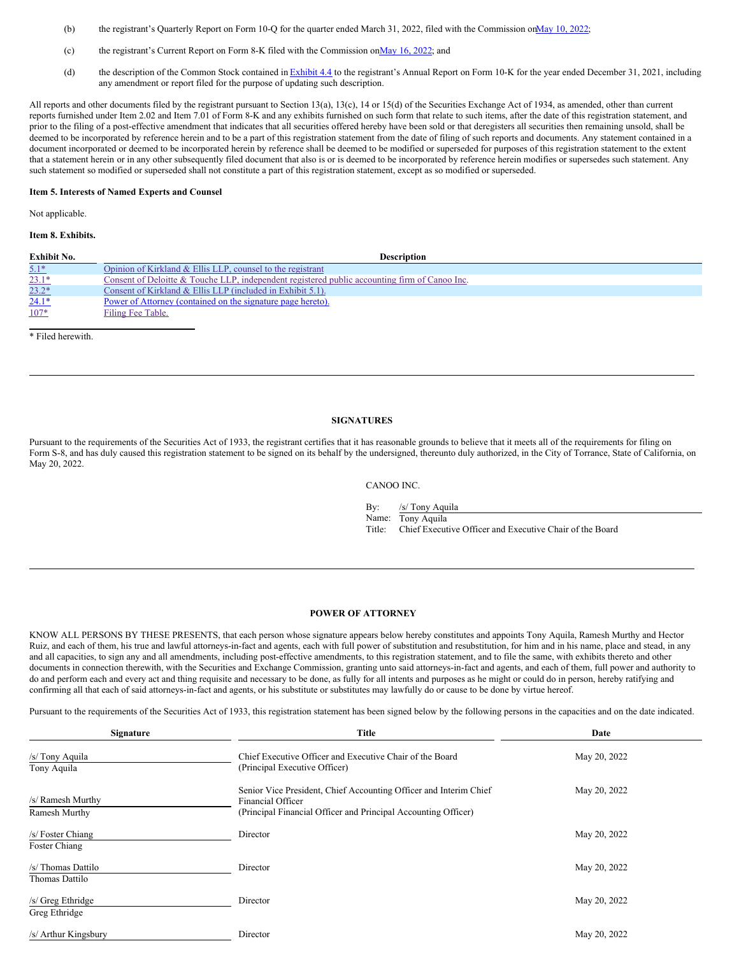- (b) the registrant's Quarterly Report on Form 10-Q for the quarter ended March 31, [2022](http://www.sec.gov/ix?doc=/Archives/edgar/data/1750153/000162828022013637/goev-20220331.htm), filed with the Commission on May 10, 2022;
- (c) the registrant's Current Report on Form 8-K filed with the Commission on May 16, 2022; and
- (d) the description of the Common Stock contained in [Exhibit](http://www.sec.gov/Archives/edgar/data/1750153/000162828022004514/goev-20211231x10kex44.htm) 4.4 to the registrant's Annual Report on Form 10-K for the year ended December 31, 2021, including any amendment or report filed for the purpose of updating such description.

All reports and other documents filed by the registrant pursuant to Section 13(a), 13(c), 14 or 15(d) of the Securities Exchange Act of 1934, as amended, other than current reports furnished under Item 2.02 and Item 7.01 of Form 8-K and any exhibits furnished on such form that relate to such items, after the date of this registration statement, and prior to the filing of a post-effective amendment that indicates that all securities offered hereby have been sold or that deregisters all securities then remaining unsold, shall be deemed to be incorporated by reference herein and to be a part of this registration statement from the date of filing of such reports and documents. Any statement contained in a document incorporated or deemed to be incorporated herein by reference shall be deemed to be modified or superseded for purposes of this registration statement to the extent that a statement herein or in any other subsequently filed document that also is or is deemed to be incorporated by reference herein modifies or supersedes such statement. Any such statement so modified or superseded shall not constitute a part of this registration statement, except as so modified or superseded.

#### **Item 5. Interests of Named Experts and Counsel**

Not applicable.

#### **Item 8. Exhibits.**

| <b>Exhibit No.</b> | <b>Description</b>                                                                            |
|--------------------|-----------------------------------------------------------------------------------------------|
| $5.1*$             | Opinion of Kirkland & Ellis LLP, counsel to the registrant                                    |
| $23.1*$            | Consent of Deloitte & Touche LLP, independent registered public accounting firm of Canoo Inc. |
| $23.2*$            | Consent of Kirkland & Ellis LLP (included in Exhibit 5.1).                                    |
| $24.1*$            | Power of Attorney (contained on the signature page hereto).                                   |
| $107*$             | Filing Fee Table.                                                                             |
|                    |                                                                                               |

\* Filed herewith.

#### **SIGNATURES**

Pursuant to the requirements of the Securities Act of 1933, the registrant certifies that it has reasonable grounds to believe that it meets all of the requirements for filing on Form S-8, and has duly caused this registration statement to be signed on its behalf by the undersigned, thereunto duly authorized, in the City of Torrance, State of California, on May 20, 2022.

CANOO INC.

By: /s/ Tony Aquila Name: Tony Aquila

Title: Chief Executive Officer and Executive Chair of the Board

#### <span id="page-1-0"></span>**POWER OF ATTORNEY**

KNOW ALL PERSONS BY THESE PRESENTS, that each person whose signature appears below hereby constitutes and appoints Tony Aquila, Ramesh Murthy and Hector Ruiz, and each of them, his true and lawful attorneys-in-fact and agents, each with full power of substitution and resubstitution, for him and in his name, place and stead, in any and all capacities, to sign any and all amendments, including post-effective amendments, to this registration statement, and to file the same, with exhibits thereto and other documents in connection therewith, with the Securities and Exchange Commission, granting unto said attorneys-in-fact and agents, and each of them, full power and authority to do and perform each and every act and thing requisite and necessary to be done, as fully for all intents and purposes as he might or could do in person, hereby ratifying and confirming all that each of said attorneys-in-fact and agents, or his substitute or substitutes may lawfully do or cause to be done by virtue hereof.

Pursuant to the requirements of the Securities Act of 1933, this registration statement has been signed below by the following persons in the capacities and on the date indicated.

| <b>Signature</b>                     | <b>Title</b>                                                                                                                                             | Date         |  |  |
|--------------------------------------|----------------------------------------------------------------------------------------------------------------------------------------------------------|--------------|--|--|
| /s/ Tony Aquila<br>Tony Aquila       | Chief Executive Officer and Executive Chair of the Board<br>(Principal Executive Officer)                                                                | May 20, 2022 |  |  |
| /s/ Ramesh Murthy<br>Ramesh Murthy   | Senior Vice President, Chief Accounting Officer and Interim Chief<br>Financial Officer<br>(Principal Financial Officer and Principal Accounting Officer) | May 20, 2022 |  |  |
| /s/ Foster Chiang<br>Foster Chiang   | Director                                                                                                                                                 | May 20, 2022 |  |  |
| /s/ Thomas Dattilo<br>Thomas Dattilo | Director                                                                                                                                                 | May 20, 2022 |  |  |
| /s/ Greg Ethridge<br>Greg Ethridge   | Director                                                                                                                                                 | May 20, 2022 |  |  |
| /s/ Arthur Kingsbury                 | Director                                                                                                                                                 | May 20, 2022 |  |  |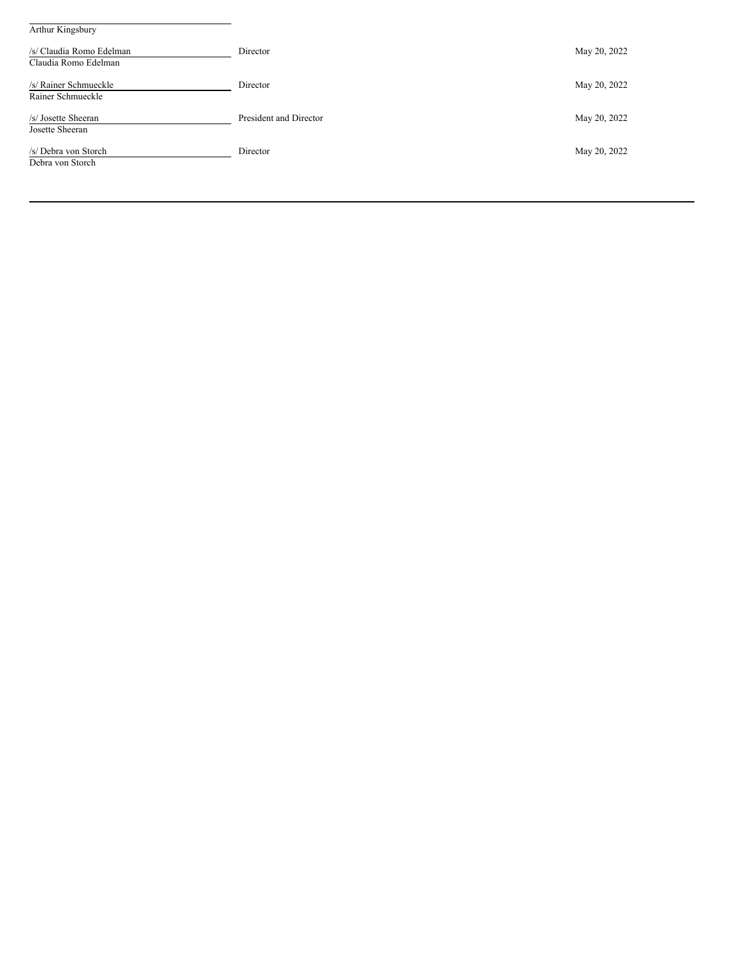| Arthur Kingsbury                                 |                        |              |  |
|--------------------------------------------------|------------------------|--------------|--|
| /s/ Claudia Romo Edelman<br>Claudia Romo Edelman | Director               | May 20, 2022 |  |
| /s/ Rainer Schmueckle<br>Rainer Schmueckle       | Director               | May 20, 2022 |  |
| /s/ Josette Sheeran<br>Josette Sheeran           | President and Director | May 20, 2022 |  |
| /s/ Debra von Storch<br>Debra von Storch         | Director               | May 20, 2022 |  |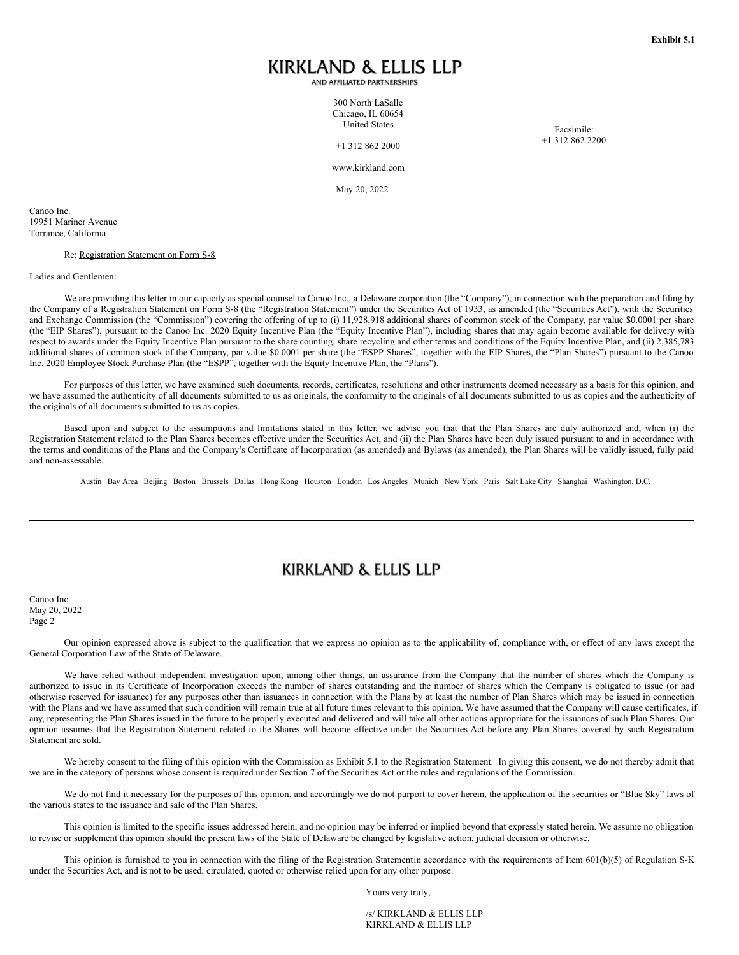# KIRKLAND & ELLIS LLP

AND AFFILIATED PARTNERSHIPS

300 North LaSalle Chicago, IL 60654 United States

+1 312 862 2000

Facsimile: +1 312 862 2200

www.kirkland.com

May 20, 2022

<span id="page-3-0"></span>Canoo Inc. 19951 Mariner Avenue Torrance, California

#### Re: Registration Statement on Form S-8

Ladies and Gentlemen:

We are providing this letter in our capacity as special counsel to Canoo Inc., a Delaware corporation (the "Company"), in connection with the preparation and filing by the Company of a Registration Statement on Form S-8 (the "Registration Statement") under the Securities Act of 1933, as amended (the "Securities Act"), with the Securities and Exchange Commission (the "Commission") covering the offering of up to (i) 11,928,918 additional shares of common stock of the Company, par value \$0.0001 per share (the "EIP Shares"), pursuant to the Canoo Inc. 2020 Equity Incentive Plan (the "Equity Incentive Plan"), including shares that may again become available for delivery with respect to awards under the Equity Incentive Plan pursuant to the share counting, share recycling and other terms and conditions of the Equity Incentive Plan, and (ii) 2,385,783 additional shares of common stock of the Company, par value \$0.0001 per share (the "ESPP Shares", together with the EIP Shares, the "Plan Shares") pursuant to the Canoo Inc. 2020 Employee Stock Purchase Plan (the "ESPP", together with the Equity Incentive Plan, the "Plans").

For purposes of this letter, we have examined such documents, records, certificates, resolutions and other instruments deemed necessary as a basis for this opinion, and we have assumed the authenticity of all documents submitted to us as originals, the conformity to the originals of all documents submitted to us as copies and the authenticity of the originals of all documents submitted to us as copies.

Based upon and subject to the assumptions and limitations stated in this letter, we advise you that that the Plan Shares are duly authorized and, when (i) the Registration Statement related to the Plan Shares becomes effective under the Securities Act, and (ii) the Plan Shares have been duly issued pursuant to and in accordance with the terms and conditions of the Plans and the Company's Certificate of Incorporation (as amended) and Bylaws (as amended), the Plan Shares will be validly issued, fully paid and non-assessable.

Austin Bay Area Beijing Boston Brussels Dallas Hong Kong Houston London Los Angeles Munich New York Paris Salt Lake City Shanghai Washington, D.C.

## **KIRKLAND & ELLIS LLP**

Canoo Inc. May 20, 2022 Page 2

Our opinion expressed above is subject to the qualification that we express no opinion as to the applicability of, compliance with, or effect of any laws except the General Corporation Law of the State of Delaware.

We have relied without independent investigation upon, among other things, an assurance from the Company that the number of shares which the Company is authorized to issue in its Certificate of Incorporation exceeds the number of shares outstanding and the number of shares which the Company is obligated to issue (or had otherwise reserved for issuance) for any purposes other than issuances in connection with the Plans by at least the number of Plan Shares which may be issued in connection with the Plans and we have assumed that such condition will remain true at all future times relevant to this opinion. We have assumed that the Company will cause certificates, if any, representing the Plan Shares issued in the future to be properly executed and delivered and will take all other actions appropriate for the issuances of such Plan Shares. Our opinion assumes that the Registration Statement related to the Shares will become effective under the Securities Act before any Plan Shares covered by such Registration Statement are sold.

We hereby consent to the filing of this opinion with the Commission as Exhibit 5.1 to the Registration Statement. In giving this consent, we do not thereby admit that we are in the category of persons whose consent is required under Section 7 of the Securities Act or the rules and regulations of the Commission.

We do not find it necessary for the purposes of this opinion, and accordingly we do not purport to cover herein, the application of the securities or "Blue Sky" laws of the various states to the issuance and sale of the Plan Shares.

This opinion is limited to the specific issues addressed herein, and no opinion may be inferred or implied beyond that expressly stated herein. We assume no obligation to revise or supplement this opinion should the present laws of the State of Delaware be changed by legislative action, judicial decision or otherwise.

This opinion is furnished to you in connection with the filing of the Registration Statementin accordance with the requirements of Item 601(b)(5) of Regulation S-K under the Securities Act, and is not to be used, circulated, quoted or otherwise relied upon for any other purpose.

Yours very truly,

/s/ KIRKLAND & ELLIS LLP KIRKLAND & ELLIS LLP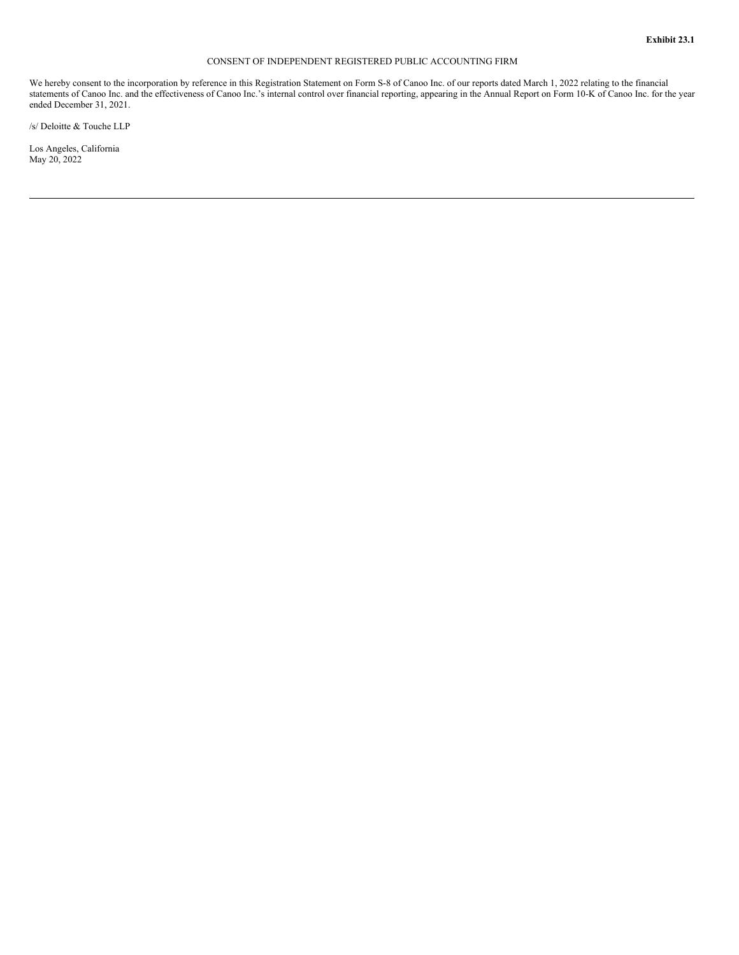### CONSENT OF INDEPENDENT REGISTERED PUBLIC ACCOUNTING FIRM

<span id="page-5-0"></span>We hereby consent to the incorporation by reference in this Registration Statement on Form S-8 of Canoo Inc. of our reports dated March 1, 2022 relating to the financial statements of Canoo Inc. and the effectiveness of Canoo Inc.'s internal control over financial reporting, appearing in the Annual Report on Form 10-K of Canoo Inc. for the year ended December 31, 2021.

/s/ Deloitte & Touche LLP

Los Angeles, California May 20, 2022